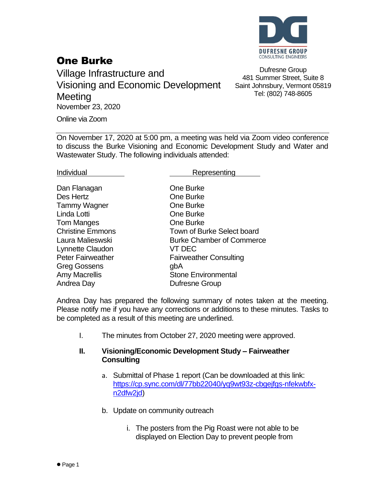

### One Burke

Village Infrastructure and Visioning and Economic Development **Meeting** November 23, 2020

Dufresne Group 481 Summer Street, Suite 8 Saint Johnsbury, Vermont 05819 Tel: (802) 748-8605

Online via Zoom

On November 17, 2020 at 5:00 pm, a meeting was held via Zoom video conference to discuss the Burke Visioning and Economic Development Study and Water and Wastewater Study. The following individuals attended:

Individual **Representing** 

| Dan Flanagan             | <b>One Burke</b>                 |
|--------------------------|----------------------------------|
| Des Hertz                | One Burke                        |
| Tammy Wagner             | One Burke                        |
| Linda Lotti              | One Burke                        |
| <b>Tom Manges</b>        | One Burke                        |
| <b>Christine Emmons</b>  | Town of Burke Select board       |
| Laura Malieswski         | <b>Burke Chamber of Commerce</b> |
| Lynnette Claudon         | VT DEC                           |
| <b>Peter Fairweather</b> | <b>Fairweather Consulting</b>    |
| <b>Greg Gossens</b>      | gbA                              |
| <b>Amy Macrellis</b>     | <b>Stone Environmental</b>       |
| Andrea Day               | Dufresne Group                   |

Andrea Day has prepared the following summary of notes taken at the meeting. Please notify me if you have any corrections or additions to these minutes. Tasks to be completed as a result of this meeting are underlined.

I. The minutes from October 27, 2020 meeting were approved.

#### **II. Visioning/Economic Development Study – Fairweather Consulting**

- a. Submittal of Phase 1 report (Can be downloaded at this link: [https://cp.sync.com/dl/77bb22040/yq9wt93z-cbgejfgs-nfekwbfx](https://cp.sync.com/dl/77bb22040/yq9wt93z-cbgejfgs-nfekwbfx-n2dfw2jd)[n2dfw2jd\)](https://cp.sync.com/dl/77bb22040/yq9wt93z-cbgejfgs-nfekwbfx-n2dfw2jd)
- b. Update on community outreach
	- i. The posters from the Pig Roast were not able to be displayed on Election Day to prevent people from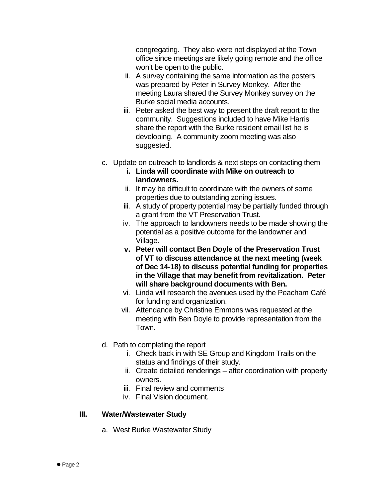congregating. They also were not displayed at the Town office since meetings are likely going remote and the office won't be open to the public.

- ii. A survey containing the same information as the posters was prepared by Peter in Survey Monkey. After the meeting Laura shared the Survey Monkey survey on the Burke social media accounts.
- iii. Peter asked the best way to present the draft report to the community. Suggestions included to have Mike Harris share the report with the Burke resident email list he is developing. A community zoom meeting was also suggested.
- c. Update on outreach to landlords & next steps on contacting them
	- **i. Linda will coordinate with Mike on outreach to landowners.**
	- ii. It may be difficult to coordinate with the owners of some properties due to outstanding zoning issues.
	- iii. A study of property potential may be partially funded through a grant from the VT Preservation Trust.
	- iv. The approach to landowners needs to be made showing the potential as a positive outcome for the landowner and Village.
	- **v. Peter will contact Ben Doyle of the Preservation Trust of VT to discuss attendance at the next meeting (week of Dec 14-18) to discuss potential funding for properties in the Village that may benefit from revitalization. Peter will share background documents with Ben.**
	- vi. Linda will research the avenues used by the Peacham Café for funding and organization.
	- vii. Attendance by Christine Emmons was requested at the meeting with Ben Doyle to provide representation from the Town.
- d. Path to completing the report
	- i. Check back in with SE Group and Kingdom Trails on the status and findings of their study.
	- ii. Create detailed renderings after coordination with property owners.
	- iii. Final review and comments
	- iv. Final Vision document.

### **III. Water/Wastewater Study**

a. West Burke Wastewater Study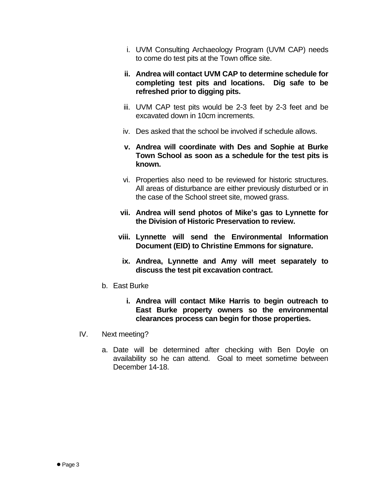- i. UVM Consulting Archaeology Program (UVM CAP) needs to come do test pits at the Town office site.
- **ii. Andrea will contact UVM CAP to determine schedule for completing test pits and locations. Dig safe to be refreshed prior to digging pits.**
- iii. UVM CAP test pits would be 2-3 feet by 2-3 feet and be excavated down in 10cm increments.
- iv. Des asked that the school be involved if schedule allows.
- **v. Andrea will coordinate with Des and Sophie at Burke Town School as soon as a schedule for the test pits is known.**
- vi. Properties also need to be reviewed for historic structures. All areas of disturbance are either previously disturbed or in the case of the School street site, mowed grass.
- **vii. Andrea will send photos of Mike's gas to Lynnette for the Division of Historic Preservation to review.**
- **viii. Lynnette will send the Environmental Information Document (EID) to Christine Emmons for signature.**
- **ix. Andrea, Lynnette and Amy will meet separately to discuss the test pit excavation contract.**
- b. East Burke
	- **i. Andrea will contact Mike Harris to begin outreach to East Burke property owners so the environmental clearances process can begin for those properties.**
- IV. Next meeting?
	- a. Date will be determined after checking with Ben Doyle on availability so he can attend. Goal to meet sometime between December 14-18.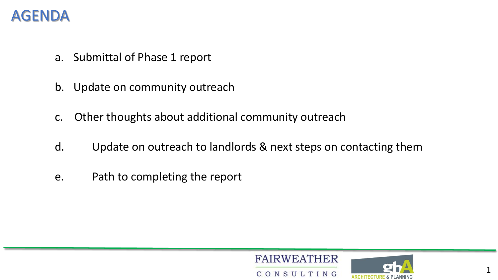## AGENDA

- a. Submittal of Phase 1 report
- b. Update on community outreach
- c. Other thoughts about additional community outreach
- d. Update on outreach to landlords & next steps on contacting them
- e. Path to completing the report



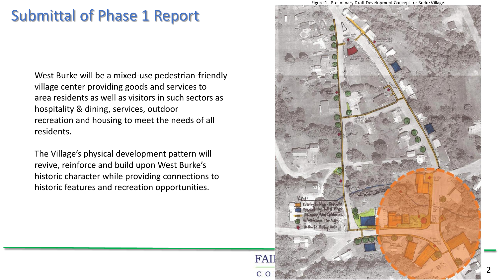# Submittal of Phase 1 Report

West Burke will be a mixed-use pedestrian-friendly village center providing goods and services to area residents as well as visitors in such sectors as hospitality & dining, services, outdoor recreation and housing to meet the needs of all residents.

The Village's physical development pattern will revive, reinforce and build upon West Burke's historic character while providing connections to historic features and recreation opportunities.

Figure 1. Preliminary Draft Development Concept for Burke Village.

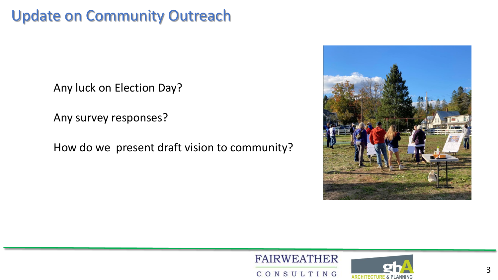# Update on Community Outreach

Any luck on Election Day?

Any survey responses?

How do we present draft vision to community?





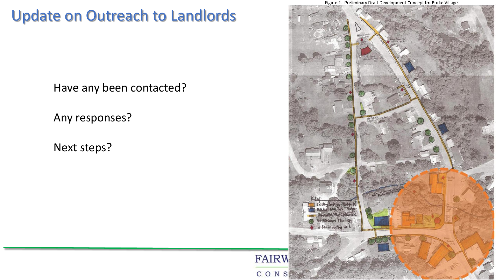# Update on Outreach to Landlords

Have any been contacted?

Any responses?

Next steps?